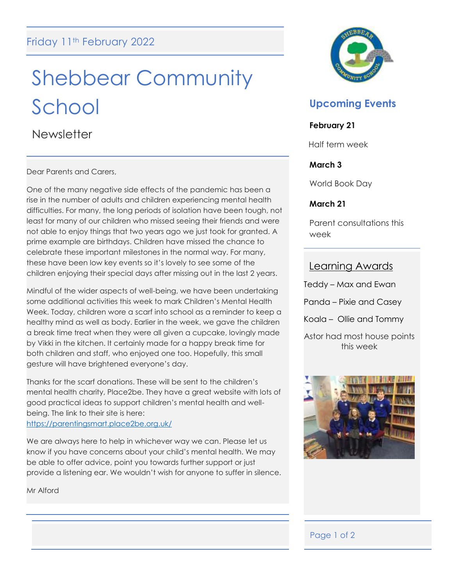# Shebbear Community School

**Newsletter** 

Dear Parents and Carers,

One of the many negative side effects of the pandemic has been a rise in the number of adults and children experiencing mental health difficulties. For many, the long periods of isolation have been tough, not least for many of our children who missed seeing their friends and were not able to enjoy things that two years ago we just took for granted. A prime example are birthdays. Children have missed the chance to celebrate these important milestones in the normal way. For many, these have been low key events so it's lovely to see some of the children enjoying their special days after missing out in the last 2 years.

Mindful of the wider aspects of well-being, we have been undertaking some additional activities this week to mark Children's Mental Health Week. Today, children wore a scarf into school as a reminder to keep a healthy mind as well as body. Earlier in the week, we gave the children a break time treat when they were all given a cupcake, lovingly made by Vikki in the kitchen. It certainly made for a happy break time for both children and staff, who enjoyed one too. Hopefully, this small gesture will have brightened everyone's day.

Thanks for the scarf donations. These will be sent to the children's mental health charity, Place2be. They have a great website with lots of good practical ideas to support children's mental health and wellbeing. The link to their site is here: <https://parentingsmart.place2be.org.uk/>

We are always here to help in whichever way we can. Please let us know if you have concerns about your child's mental health. We may be able to offer advice, point you towards further support or just provide a listening ear. We wouldn't wish for anyone to suffer in silence.

Mr Alford



# **Upcoming Events**

### **February 21**

Half term week

### **March 3**

World Book Day

### **March 21**

Parent consultations this week

# Learning Awards

Teddy – Max and Ewan Panda – Pixie and Casey Koala – Ollie and Tommy Astor had most house points this week



# Page 1 of 2